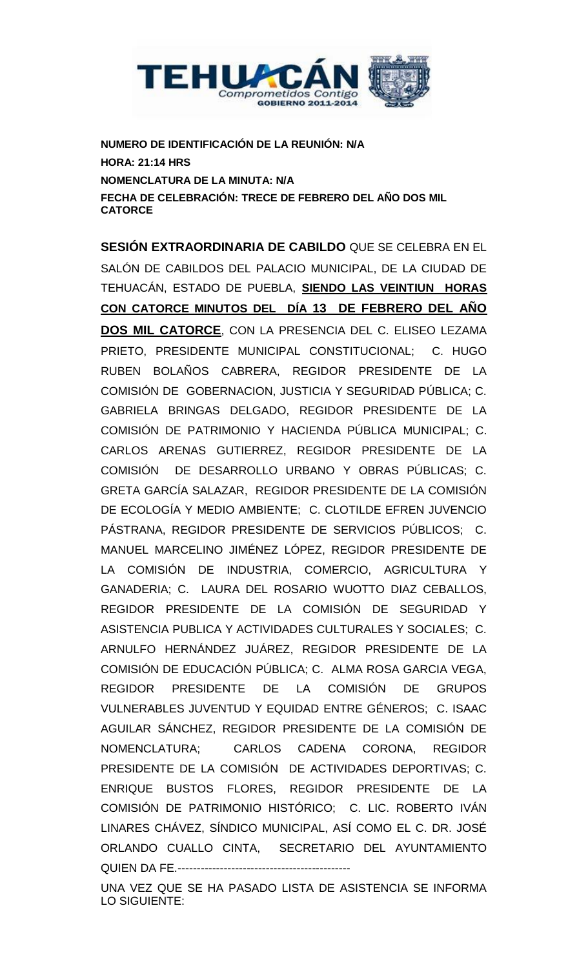

**NUMERO DE IDENTIFICACIÓN DE LA REUNIÓN: N/A HORA: 21:14 HRS NOMENCLATURA DE LA MINUTA: N/A FECHA DE CELEBRACIÓN: TRECE DE FEBRERO DEL AÑO DOS MIL CATORCE**

**SESIÓN EXTRAORDINARIA DE CABILDO** QUE SE CELEBRA EN EL SALÓN DE CABILDOS DEL PALACIO MUNICIPAL, DE LA CIUDAD DE TEHUACÁN, ESTADO DE PUEBLA, **SIENDO LAS VEINTIUN HORAS CON CATORCE MINUTOS DEL DÍA 13 DE FEBRERO DEL AÑO DOS MIL CATORCE**, CON LA PRESENCIA DEL C. ELISEO LEZAMA PRIETO, PRESIDENTE MUNICIPAL CONSTITUCIONAL; C. HUGO RUBEN BOLAÑOS CABRERA, REGIDOR PRESIDENTE DE LA COMISIÓN DE GOBERNACION, JUSTICIA Y SEGURIDAD PÚBLICA; C. GABRIELA BRINGAS DELGADO, REGIDOR PRESIDENTE DE LA COMISIÓN DE PATRIMONIO Y HACIENDA PÚBLICA MUNICIPAL; C. CARLOS ARENAS GUTIERREZ, REGIDOR PRESIDENTE DE LA COMISIÓN DE DESARROLLO URBANO Y OBRAS PÚBLICAS; C. GRETA GARCÍA SALAZAR, REGIDOR PRESIDENTE DE LA COMISIÓN DE ECOLOGÍA Y MEDIO AMBIENTE; C. CLOTILDE EFREN JUVENCIO PÁSTRANA, REGIDOR PRESIDENTE DE SERVICIOS PÚBLICOS; C. MANUEL MARCELINO JIMÉNEZ LÓPEZ, REGIDOR PRESIDENTE DE LA COMISIÓN DE INDUSTRIA, COMERCIO, AGRICULTURA Y GANADERIA; C. LAURA DEL ROSARIO WUOTTO DIAZ CEBALLOS, REGIDOR PRESIDENTE DE LA COMISIÓN DE SEGURIDAD Y ASISTENCIA PUBLICA Y ACTIVIDADES CULTURALES Y SOCIALES; C. ARNULFO HERNÁNDEZ JUÁREZ, REGIDOR PRESIDENTE DE LA COMISIÓN DE EDUCACIÓN PÚBLICA; C. ALMA ROSA GARCIA VEGA, REGIDOR PRESIDENTE DE LA COMISIÓN DE GRUPOS VULNERABLES JUVENTUD Y EQUIDAD ENTRE GÉNEROS; C. ISAAC AGUILAR SÁNCHEZ, REGIDOR PRESIDENTE DE LA COMISIÓN DE NOMENCLATURA; CARLOS CADENA CORONA, REGIDOR PRESIDENTE DE LA COMISIÓN DE ACTIVIDADES DEPORTIVAS; C. ENRIQUE BUSTOS FLORES, REGIDOR PRESIDENTE DE LA COMISIÓN DE PATRIMONIO HISTÓRICO; C. LIC. ROBERTO IVÁN LINARES CHÁVEZ, SÍNDICO MUNICIPAL, ASÍ COMO EL C. DR. JOSÉ ORLANDO CUALLO CINTA, SECRETARIO DEL AYUNTAMIENTO QUIEN DA FE.---------------------------------------------

UNA VEZ QUE SE HA PASADO LISTA DE ASISTENCIA SE INFORMA LO SIGUIENTE: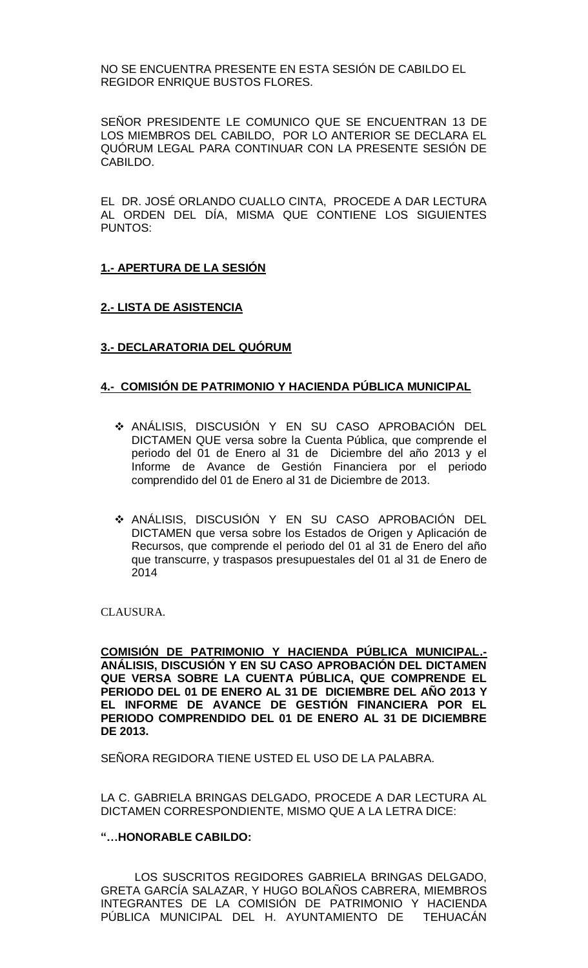NO SE ENCUENTRA PRESENTE EN ESTA SESIÓN DE CABILDO EL REGIDOR ENRIQUE BUSTOS FLORES.

SEÑOR PRESIDENTE LE COMUNICO QUE SE ENCUENTRAN 13 DE LOS MIEMBROS DEL CABILDO, POR LO ANTERIOR SE DECLARA EL QUÓRUM LEGAL PARA CONTINUAR CON LA PRESENTE SESIÓN DE CABILDO.

EL DR. JOSÉ ORLANDO CUALLO CINTA, PROCEDE A DAR LECTURA AL ORDEN DEL DÍA, MISMA QUE CONTIENE LOS SIGUIENTES PUNTOS:

# **1.- APERTURA DE LA SESIÓN**

## **2.- LISTA DE ASISTENCIA**

# **3.- DECLARATORIA DEL QUÓRUM**

## **4.- COMISIÓN DE PATRIMONIO Y HACIENDA PÚBLICA MUNICIPAL**

- ANÁLISIS, DISCUSIÓN Y EN SU CASO APROBACIÓN DEL DICTAMEN QUE versa sobre la Cuenta Pública, que comprende el periodo del 01 de Enero al 31 de Diciembre del año 2013 y el Informe de Avance de Gestión Financiera por el periodo comprendido del 01 de Enero al 31 de Diciembre de 2013.
- ANÁLISIS, DISCUSIÓN Y EN SU CASO APROBACIÓN DEL DICTAMEN que versa sobre los Estados de Origen y Aplicación de Recursos, que comprende el periodo del 01 al 31 de Enero del año que transcurre, y traspasos presupuestales del 01 al 31 de Enero de 2014

CLAUSURA.

**COMISIÓN DE PATRIMONIO Y HACIENDA PÚBLICA MUNICIPAL.- ANÁLISIS, DISCUSIÓN Y EN SU CASO APROBACIÓN DEL DICTAMEN QUE VERSA SOBRE LA CUENTA PÚBLICA, QUE COMPRENDE EL PERIODO DEL 01 DE ENERO AL 31 DE DICIEMBRE DEL AÑO 2013 Y EL INFORME DE AVANCE DE GESTIÓN FINANCIERA POR EL PERIODO COMPRENDIDO DEL 01 DE ENERO AL 31 DE DICIEMBRE DE 2013.**

SEÑORA REGIDORA TIENE USTED EL USO DE LA PALABRA.

LA C. GABRIELA BRINGAS DELGADO, PROCEDE A DAR LECTURA AL DICTAMEN CORRESPONDIENTE, MISMO QUE A LA LETRA DICE:

#### **"…HONORABLE CABILDO:**

LOS SUSCRITOS REGIDORES GABRIELA BRINGAS DELGADO, GRETA GARCÍA SALAZAR, Y HUGO BOLAÑOS CABRERA, MIEMBROS INTEGRANTES DE LA COMISIÓN DE PATRIMONIO Y HACIENDA PÚBLICA MUNICIPAL DEL H. AYUNTAMIENTO DE TEHUACÁN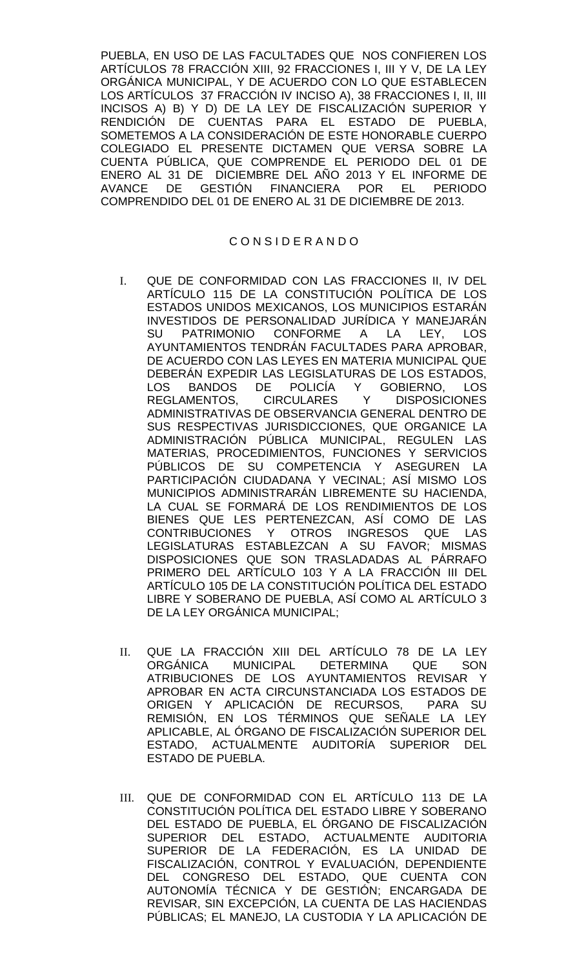PUEBLA, EN USO DE LAS FACULTADES QUE NOS CONFIEREN LOS ARTÍCULOS 78 FRACCIÓN XIII, 92 FRACCIONES I, III Y V, DE LA LEY ORGÁNICA MUNICIPAL, Y DE ACUERDO CON LO QUE ESTABLECEN LOS ARTÍCULOS 37 FRACCIÓN IV INCISO A), 38 FRACCIONES I, II, III INCISOS A) B) Y D) DE LA LEY DE FISCALIZACIÓN SUPERIOR Y RENDICIÓN DE CUENTAS PARA EL ESTADO DE PUEBLA, SOMETEMOS A LA CONSIDERACIÓN DE ESTE HONORABLE CUERPO COLEGIADO EL PRESENTE DICTAMEN QUE VERSA SOBRE LA CUENTA PÚBLICA, QUE COMPRENDE EL PERIODO DEL 01 DE ENERO AL 31 DE DICIEMBRE DEL AÑO 2013 Y EL INFORME DE AVANCE DE GESTIÓN FINANCIERA POR EL PERIODO COMPRENDIDO DEL 01 DE ENERO AL 31 DE DICIEMBRE DE 2013.

## C O N S I D E R A N D O

- I. QUE DE CONFORMIDAD CON LAS FRACCIONES II, IV DEL ARTÍCULO 115 DE LA CONSTITUCIÓN POLÍTICA DE LOS ESTADOS UNIDOS MEXICANOS, LOS MUNICIPIOS ESTARÁN INVESTIDOS DE PERSONALIDAD JURÍDICA Y MANEJARÁN SU PATRIMONIO CONFORME A LA LEY, LOS AYUNTAMIENTOS TENDRÁN FACULTADES PARA APROBAR, DE ACUERDO CON LAS LEYES EN MATERIA MUNICIPAL QUE DEBERÁN EXPEDIR LAS LEGISLATURAS DE LOS ESTADOS, LOS BANDOS DE POLICÍA Y GOBIERNO, LOS REGLAMENTOS, CIRCULARES Y DISPOSICIONES ADMINISTRATIVAS DE OBSERVANCIA GENERAL DENTRO DE SUS RESPECTIVAS JURISDICCIONES, QUE ORGANICE LA ADMINISTRACIÓN PÚBLICA MUNICIPAL, REGULEN LAS MATERIAS, PROCEDIMIENTOS, FUNCIONES Y SERVICIOS PÚBLICOS DE SU COMPETENCIA Y ASEGUREN LA PARTICIPACIÓN CIUDADANA Y VECINAL; ASÍ MISMO LOS MUNICIPIOS ADMINISTRARÁN LIBREMENTE SU HACIENDA, LA CUAL SE FORMARÁ DE LOS RENDIMIENTOS DE LOS BIENES QUE LES PERTENEZCAN, ASÍ COMO DE LAS CONTRIBUCIONES Y OTROS INGRESOS QUE LAS LEGISLATURAS ESTABLEZCAN A SU FAVOR; MISMAS DISPOSICIONES QUE SON TRASLADADAS AL PÁRRAFO PRIMERO DEL ARTÍCULO 103 Y A LA FRACCIÓN III DEL ARTÍCULO 105 DE LA CONSTITUCIÓN POLÍTICA DEL ESTADO LIBRE Y SOBERANO DE PUEBLA, ASÍ COMO AL ARTÍCULO 3 DE LA LEY ORGÁNICA MUNICIPAL;
- II. QUE LA FRACCIÓN XIII DEL ARTÍCULO 78 DE LA LEY ORGÁNICA MUNICIPAL DETERMINA QUE SON ATRIBUCIONES DE LOS AYUNTAMIENTOS REVISAR Y APROBAR EN ACTA CIRCUNSTANCIADA LOS ESTADOS DE ORIGEN Y APLICACIÓN DE RECURSOS, PARA SU REMISIÓN, EN LOS TÉRMINOS QUE SEÑALE LA LEY APLICABLE, AL ÓRGANO DE FISCALIZACIÓN SUPERIOR DEL ESTADO, ACTUALMENTE AUDITORÍA SUPERIOR DEL ESTADO DE PUEBLA.
- III. QUE DE CONFORMIDAD CON EL ARTÍCULO 113 DE LA CONSTITUCIÓN POLÍTICA DEL ESTADO LIBRE Y SOBERANO DEL ESTADO DE PUEBLA, EL ÓRGANO DE FISCALIZACIÓN SUPERIOR DEL ESTADO, ACTUALMENTE AUDITORIA SUPERIOR DE LA FEDERACIÓN, ES LA UNIDAD DE FISCALIZACIÓN, CONTROL Y EVALUACIÓN, DEPENDIENTE DEL CONGRESO DEL ESTADO, QUE CUENTA CON AUTONOMÍA TÉCNICA Y DE GESTIÓN; ENCARGADA DE REVISAR, SIN EXCEPCIÓN, LA CUENTA DE LAS HACIENDAS PÚBLICAS; EL MANEJO, LA CUSTODIA Y LA APLICACIÓN DE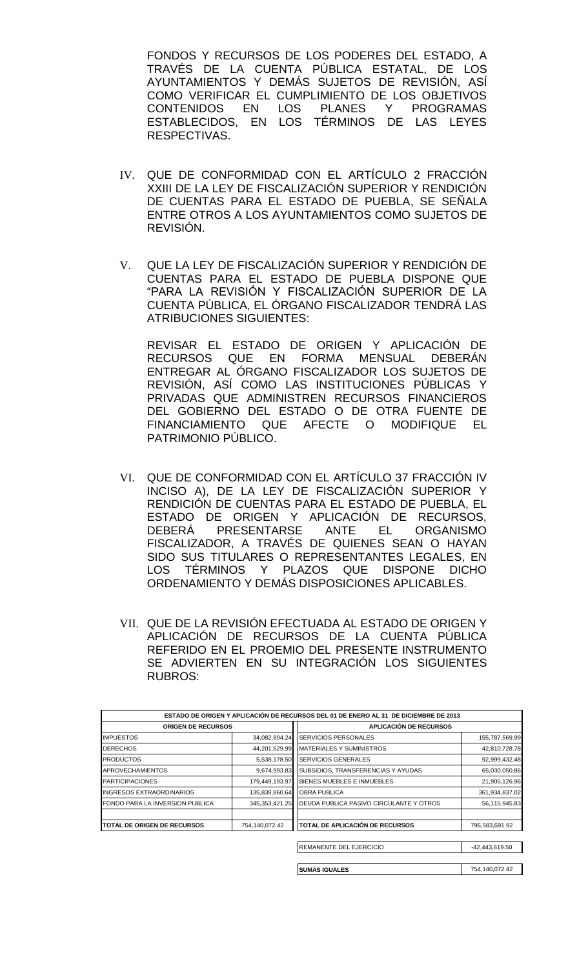FONDOS Y RECURSOS DE LOS PODERES DEL ESTADO, A TRAVÉS DE LA CUENTA PÚBLICA ESTATAL, DE LOS AYUNTAMIENTOS Y DEMÁS SUJETOS DE REVISIÓN, ASÍ COMO VERIFICAR EL CUMPLIMIENTO DE LOS OBJETIVOS CONTENIDOS EN LOS PLANES Y PROGRAMAS ESTABLECIDOS, EN LOS TÉRMINOS DE LAS LEYES RESPECTIVAS.

- IV. QUE DE CONFORMIDAD CON EL ARTÍCULO 2 FRACCIÓN XXIII DE LA LEY DE FISCALIZACIÓN SUPERIOR Y RENDICIÓN DE CUENTAS PARA EL ESTADO DE PUEBLA, SE SEÑALA ENTRE OTROS A LOS AYUNTAMIENTOS COMO SUJETOS DE REVISIÓN.
- V. QUE LA LEY DE FISCALIZACIÓN SUPERIOR Y RENDICIÓN DE CUENTAS PARA EL ESTADO DE PUEBLA DISPONE QUE "PARA LA REVISIÓN Y FISCALIZACIÓN SUPERIOR DE LA CUENTA PÚBLICA, EL ÓRGANO FISCALIZADOR TENDRÁ LAS ATRIBUCIONES SIGUIENTES:

REVISAR EL ESTADO DE ORIGEN Y APLICACIÓN DE RECURSOS QUE EN FORMA MENSUAL DEBERÁN ENTREGAR AL ÓRGANO FISCALIZADOR LOS SUJETOS DE REVISIÓN, ASÍ COMO LAS INSTITUCIONES PÚBLICAS Y PRIVADAS QUE ADMINISTREN RECURSOS FINANCIEROS DEL GOBIERNO DEL ESTADO O DE OTRA FUENTE DE FINANCIAMIENTO QUE AFECTE O MODIFIQUE EL PATRIMONIO PÚBLICO.

- VI. QUE DE CONFORMIDAD CON EL ARTÍCULO 37 FRACCIÓN IV INCISO A), DE LA LEY DE FISCALIZACIÓN SUPERIOR Y RENDICIÓN DE CUENTAS PARA EL ESTADO DE PUEBLA, EL ESTADO DE ORIGEN Y APLICACIÓN DE RECURSOS, DEBERÁ PRESENTARSE ANTE EL ORGANISMO FISCALIZADOR, A TRAVÉS DE QUIENES SEAN O HAYAN SIDO SUS TITULARES O REPRESENTANTES LEGALES, EN LOS TÉRMINOS Y PLAZOS QUE DISPONE DICHO ORDENAMIENTO Y DEMÁS DISPOSICIONES APLICABLES.
- VII. QUE DE LA REVISIÓN EFECTUADA AL ESTADO DE ORIGEN Y APLICACIÓN DE RECURSOS DE LA CUENTA PÚBLICA REFERIDO EN EL PROEMIO DEL PRESENTE INSTRUMENTO SE ADVIERTEN EN SU INTEGRACIÓN LOS SIGUIENTES RUBROS:

|                                    |                   | ESTADO DE ORIGEN Y APLICACIÓN DE RECURSOS DEL 01 DE ENERO AL 31 DE DICIEMBRE DE 2013 |                |
|------------------------------------|-------------------|--------------------------------------------------------------------------------------|----------------|
| <b>ORIGEN DE RECURSOS</b>          |                   | <b>APLICACIÓN DE RECURSOS</b>                                                        |                |
| <b>IMPUESTOS</b>                   | 34,082,894.24     | <b>SERVICIOS PERSONALES</b>                                                          | 155,787,569.99 |
| <b>DERECHOS</b>                    | 44,201,529.99     | <b>MATERIALES Y SUMINISTROS</b>                                                      | 42,810,728.78  |
| <b>PRODUCTOS</b>                   | 5,538,178.50      | <b>SERVICIOS GENERALES</b>                                                           | 92,999,432.48  |
| <b>APROVECHAMIENTOS</b>            | 9,674,993.83      | SUBSIDIOS, TRANSFERENCIAS Y AYUDAS                                                   | 65,030,050.86  |
| <b>PARTICIPACIONES</b>             | 179,449,193.97    | BIENES MUEBLES E INMUEBLES                                                           | 21,905,126.96  |
| <b>INGRESOS EXTRAORDINARIOS</b>    | 135,839,860.64    | <b>OBRA PUBLICA</b>                                                                  | 361,934,837.02 |
| FONDO PARA LA INVERSION PUBLICA    | 345, 353, 421. 25 | DEUDA PUBLICA PASIVO CIRCULANTE Y OTROS                                              | 56,115,945.83  |
| <b>TOTAL DE ORIGEN DE RECURSOS</b> | 754,140,072.42    | TOTAL DE APLICACIÓN DE RECURSOS                                                      | 796,583,691.92 |
|                                    |                   | REMANENTE DEL EJERCICIO                                                              | -42,443,619.50 |
|                                    |                   | <b>SUMAS IGUALES</b>                                                                 | 754,140,072.42 |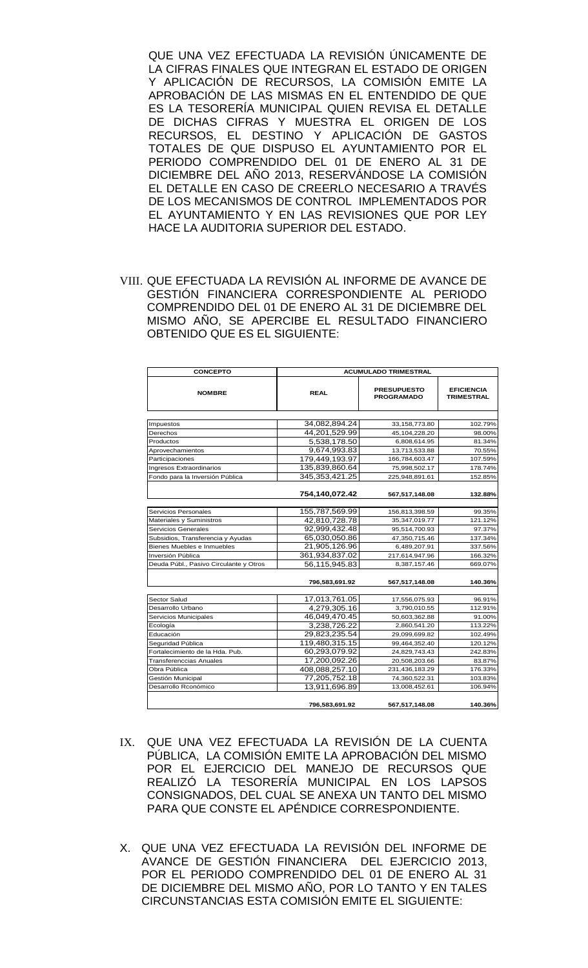QUE UNA VEZ EFECTUADA LA REVISIÓN ÚNICAMENTE DE LA CIFRAS FINALES QUE INTEGRAN EL ESTADO DE ORIGEN Y APLICACIÓN DE RECURSOS, LA COMISIÓN EMITE LA APROBACIÓN DE LAS MISMAS EN EL ENTENDIDO DE QUE ES LA TESORERÍA MUNICIPAL QUIEN REVISA EL DETALLE DE DICHAS CIFRAS Y MUESTRA EL ORIGEN DE LOS RECURSOS, EL DESTINO Y APLICACIÓN DE GASTOS TOTALES DE QUE DISPUSO EL AYUNTAMIENTO POR EL PERIODO COMPRENDIDO DEL 01 DE ENERO AL 31 DE DICIEMBRE DEL AÑO 2013, RESERVÁNDOSE LA COMISIÓN EL DETALLE EN CASO DE CREERLO NECESARIO A TRAVÉS DE LOS MECANISMOS DE CONTROL IMPLEMENTADOS POR EL AYUNTAMIENTO Y EN LAS REVISIONES QUE POR LEY HACE LA AUDITORIA SUPERIOR DEL ESTADO.

VIII. QUE EFECTUADA LA REVISIÓN AL INFORME DE AVANCE DE GESTIÓN FINANCIERA CORRESPONDIENTE AL PERIODO COMPRENDIDO DEL 01 DE ENERO AL 31 DE DICIEMBRE DEL MISMO AÑO, SE APERCIBE EL RESULTADO FINANCIERO OBTENIDO QUE ES EL SIGUIENTE:

| <b>CONCEPTO</b>                        | <b>ACUMULADO TRIMESTRAL</b> |                                         |                                 |  |
|----------------------------------------|-----------------------------|-----------------------------------------|---------------------------------|--|
| <b>NOMBRE</b>                          | <b>REAL</b>                 | <b>PRESUPUESTO</b><br><b>PROGRAMADO</b> | <b>EFICIENCIA</b><br>TRIMESTRAL |  |
|                                        |                             |                                         |                                 |  |
| Impuestos                              | 34,082,894.24               | 33,158,773.80                           | 102.79%                         |  |
| Derechos                               | 44,201,529.99               | 45,104,228.20                           | 98.00%                          |  |
| Productos                              | 5,538,178.50                | 6,808,614.95                            | 81.34%                          |  |
| Aprovechamientos                       | 9,674,993.83                | 13,713,533.88                           | 70.55%                          |  |
| Participaciones                        | 179,449,193.97              | 166,784,603.47                          | 107.59%                         |  |
| Ingresos Extraordinarios               | 135,839,860.64              | 75,998,502.17                           | 178.74%                         |  |
| Fondo para la Inversión Pública        | 345, 353, 421. 25           | 225,948,891.61                          | 152.85%                         |  |
|                                        | 754,140,072.42              | 567,517,148.08                          | 132.88%                         |  |
|                                        |                             |                                         |                                 |  |
| Servicios Personales                   | 155,787,569.99              | 156,813,398.59                          | 99.35%                          |  |
| Materiales y Suministros               | 42,810,728.78               | 35,347,019.77                           | 121.12%                         |  |
| Servicios Generales                    | 92.999.432.48               | 95,514,700.93                           | 97.37%                          |  |
| Subsidios, Transferencia y Ayudas      | 65,030,050.86               | 47,350,715.46                           | 137.34%                         |  |
| Bienes Muebles e Inmuebles             | 21,905,126.96               | 6,489,207.91                            | 337.56%                         |  |
| Inversión Pública                      | 361,934,837.02              | 217,614,947.96                          | 166.32%                         |  |
| Deuda Públ., Pasivo Circulante y Otros | 56,115,945.83               | 8,387,157.46                            | 669.07%                         |  |
|                                        | 796,583,691.92              | 567,517,148.08                          | 140.36%                         |  |
|                                        |                             |                                         |                                 |  |
| Sector Salud                           | 17,013,761.05               | 17,556,075.93                           | 96.91%                          |  |
| Desarrollo Urbano                      | 4,279,305.16                | 3,790,010.55                            | 112.91%                         |  |
| Servicios Municipales                  | 46,049,470.45               | 50,603,362.88                           | 91.00%                          |  |
| Ecología                               | 3,238,726.22                | 2,860,541.20                            | 113.22%                         |  |
| Educación                              | 29,823,235.54               | 29,099,699.82                           | 102.49%                         |  |
| Seguridad Pública                      | 119,480,315.15              | 99,464,352.40                           | 120.12%                         |  |
| Fortalecimiento de la Hda. Pub.        | 60,293,079.92               | 24,829,743.43                           | 242.83%                         |  |
| Transferenccias Anuales                | 17,200,092.26               | 20,508,203.66                           | 83.87%                          |  |
| Obra Pública                           | 408,088,257.10              | 231,436,183.29                          | 176.33%                         |  |
| Gestión Municipal                      | 77,205,752.18               | 74,360,522.31                           | 103.83%                         |  |
| Desarrollo Rconómico                   | 13,911,696.89               | 13,008,452.61                           | 106.94%                         |  |
|                                        | 796,583,691.92              | 567,517,148.08                          | 140.36%                         |  |

- IX. QUE UNA VEZ EFECTUADA LA REVISIÓN DE LA CUENTA PÚBLICA, LA COMISIÓN EMITE LA APROBACIÓN DEL MISMO POR EL EJERCICIO DEL MANEJO DE RECURSOS QUE REALIZÓ LA TESORERÍA MUNICIPAL EN LOS LAPSOS CONSIGNADOS, DEL CUAL SE ANEXA UN TANTO DEL MISMO PARA QUE CONSTE EL APÉNDICE CORRESPONDIENTE.
- X. QUE UNA VEZ EFECTUADA LA REVISIÓN DEL INFORME DE AVANCE DE GESTIÓN FINANCIERA DEL EJERCICIO 2013, POR EL PERIODO COMPRENDIDO DEL 01 DE ENERO AL 31 DE DICIEMBRE DEL MISMO AÑO, POR LO TANTO Y EN TALES CIRCUNSTANCIAS ESTA COMISIÓN EMITE EL SIGUIENTE: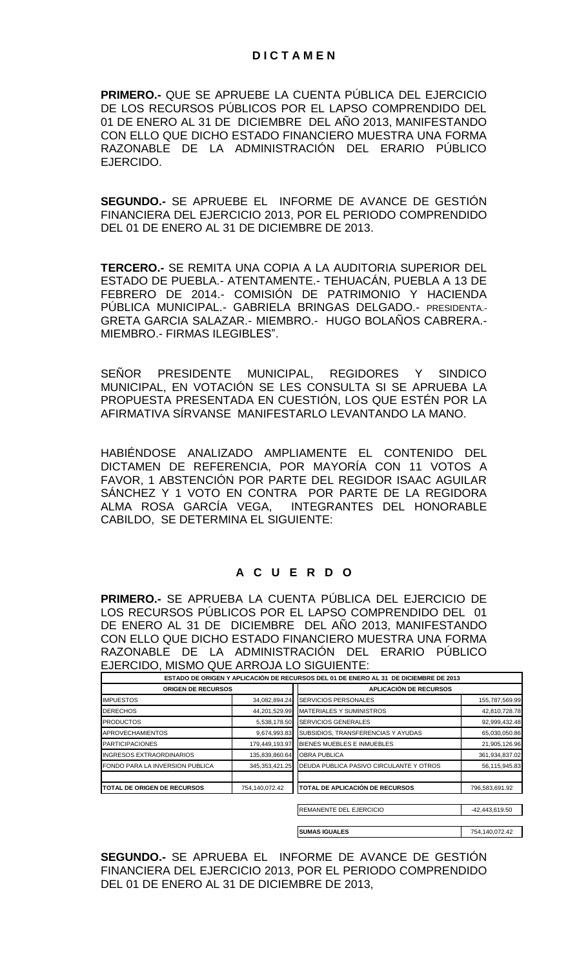**PRIMERO.-** QUE SE APRUEBE LA CUENTA PÚBLICA DEL EJERCICIO DE LOS RECURSOS PÚBLICOS POR EL LAPSO COMPRENDIDO DEL 01 DE ENERO AL 31 DE DICIEMBRE DEL AÑO 2013, MANIFESTANDO CON ELLO QUE DICHO ESTADO FINANCIERO MUESTRA UNA FORMA RAZONABLE DE LA ADMINISTRACIÓN DEL ERARIO PÚBLICO EJERCIDO.

**SEGUNDO.-** SE APRUEBE EL INFORME DE AVANCE DE GESTIÓN FINANCIERA DEL EJERCICIO 2013, POR EL PERIODO COMPRENDIDO DEL 01 DE ENERO AL 31 DE DICIEMBRE DE 2013.

**TERCERO.-** SE REMITA UNA COPIA A LA AUDITORIA SUPERIOR DEL ESTADO DE PUEBLA.- ATENTAMENTE.- TEHUACÁN, PUEBLA A 13 DE FEBRERO DE 2014.- COMISIÓN DE PATRIMONIO Y HACIENDA PÚBLICA MUNICIPAL.- GABRIELA BRINGAS DELGADO.- PRESIDENTA.- GRETA GARCIA SALAZAR.- MIEMBRO.- HUGO BOLAÑOS CABRERA.- MIEMBRO.- FIRMAS ILEGIBLES".

SEÑOR PRESIDENTE MUNICIPAL, REGIDORES Y SINDICO MUNICIPAL, EN VOTACIÓN SE LES CONSULTA SI SE APRUEBA LA PROPUESTA PRESENTADA EN CUESTIÓN, LOS QUE ESTÉN POR LA AFIRMATIVA SÍRVANSE MANIFESTARLO LEVANTANDO LA MANO.

HABIÉNDOSE ANALIZADO AMPLIAMENTE EL CONTENIDO DEL DICTAMEN DE REFERENCIA, POR MAYORÍA CON 11 VOTOS A FAVOR, 1 ABSTENCIÓN POR PARTE DEL REGIDOR ISAAC AGUILAR SÁNCHEZ Y 1 VOTO EN CONTRA POR PARTE DE LA REGIDORA ALMA ROSA GARCÍA VEGA, INTEGRANTES DEL HONORABLE CABILDO, SE DETERMINA EL SIGUIENTE:

# **A C U E R D O**

**PRIMERO.-** SE APRUEBA LA CUENTA PÚBLICA DEL EJERCICIO DE LOS RECURSOS PÚBLICOS POR EL LAPSO COMPRENDIDO DEL 01 DE ENERO AL 31 DE DICIEMBRE DEL AÑO 2013, MANIFESTANDO CON ELLO QUE DICHO ESTADO FINANCIERO MUESTRA UNA FORMA RAZONABLE DE LA ADMINISTRACIÓN DEL ERARIO PÚBLICO EJERCIDO, MISMO QUE ARROJA LO SIGUIENTE:

|                                               |                   | ESTADO DE ORIGEN Y APLICACIÓN DE RECURSOS DEL 01 DE ENERO AL 31 DE DICIEMBRE DE 2013 |                |  |
|-----------------------------------------------|-------------------|--------------------------------------------------------------------------------------|----------------|--|
| <b>ORIGEN DE RECURSOS</b>                     |                   | APLICACIÓN DE RECURSOS                                                               |                |  |
| <b>IMPUESTOS</b>                              | 34,082,894.24     | <b>SERVICIOS PERSONALES</b>                                                          | 155,787,569.99 |  |
| <b>DERECHOS</b>                               | 44,201,529.99     | <b>MATERIALES Y SUMINISTROS</b>                                                      | 42,810,728.78  |  |
| <b>PRODUCTOS</b>                              | 5,538,178.50      | <b>SERVICIOS GENERALES</b>                                                           | 92,999,432.48  |  |
| <b>APROVECHAMIENTOS</b>                       | 9,674,993.83      | SUBSIDIOS, TRANSFERENCIAS Y AYUDAS                                                   | 65,030,050.86  |  |
| <b>PARTICIPACIONES</b>                        | 179,449,193.97    | BIENES MUEBLES E INMUEBLES                                                           | 21,905,126.96  |  |
| <b>INGRESOS EXTRAORDINARIOS</b>               | 135,839,860.64    | <b>OBRA PUBLICA</b>                                                                  | 361,934,837.02 |  |
| FONDO PARA LA INVERSION PUBLICA               | 345, 353, 421. 25 | DEUDA PUBLICA PASIVO CIRCULANTE Y OTROS                                              | 56,115,945.83  |  |
| 754,140,072.42<br>TOTAL DE ORIGEN DE RECURSOS |                   | TOTAL DE APLICACIÓN DE RECURSOS                                                      | 796,583,691.92 |  |
|                                               |                   | REMANENTE DEL EJERCICIO                                                              | -42,443,619.50 |  |

**SUMAS IGUALES** 754,140,072.42 **SEGUNDO.-** SE APRUEBA EL INFORME DE AVANCE DE GESTIÓN

FINANCIERA DEL EJERCICIO 2013, POR EL PERIODO COMPRENDIDO DEL 01 DE ENERO AL 31 DE DICIEMBRE DE 2013,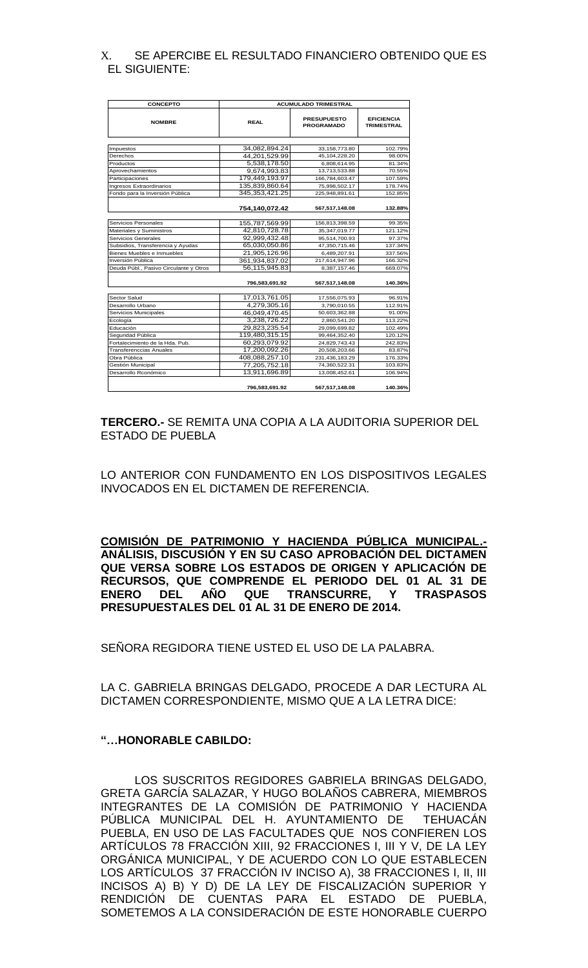## X. SE APERCIBE EL RESULTADO FINANCIERO OBTENIDO QUE ES EL SIGUIENTE:

| <b>CONCEPTO</b>                        | <b>ACUMULADO TRIMESTRAL</b> |                                         |                                        |
|----------------------------------------|-----------------------------|-----------------------------------------|----------------------------------------|
| <b>NOMBRE</b>                          | <b>REAL</b>                 | <b>PRESUPUESTO</b><br><b>PROGRAMADO</b> | <b>EFICIENCIA</b><br><b>TRIMESTRAL</b> |
|                                        |                             |                                         |                                        |
| Impuestos                              | 34,082,894.24               | 33,158,773.80                           | 102.79%                                |
| Derechos                               | 44,201,529.99               | 45,104,228.20                           | 98.00%                                 |
| Productos                              | 5,538,178.50                | 6,808,614.95                            | 81.34%                                 |
| Aprovechamientos                       | 9,674,993.83                | 13,713,533.88                           | 70.55%                                 |
| Participaciones                        | 179.449.193.97              | 166,784,603.47                          | 107.59%                                |
| Ingresos Extraordinarios               | 135.839.860.64              | 75.998.502.17                           | 178.74%                                |
| Fondo para la Inversión Pública        | 345, 353, 421. 25           | 225,948,891.61                          | 152.85%                                |
|                                        | 754,140,072.42              | 567,517,148.08                          | 132.88%                                |
| Servicios Personales                   | 155,787,569.99              | 156,813,398.59                          | 99.35%                                 |
| Materiales y Suministros               | 42,810,728.78               | 35,347,019.77                           | 121.12%                                |
| Servicios Generales                    | 92,999,432.48               | 95,514,700.93                           | 97.37%                                 |
| Subsidios, Transferencia y Ayudas      | 65,030,050.86               | 47,350,715.46                           | 137.34%                                |
| Bienes Muebles e Inmuebles             | 21,905,126.96               | 6.489.207.91                            | 337.56%                                |
| Inversión Pública                      | 361,934,837.02              | 217,614,947.96                          | 166.32%                                |
| Deuda Públ., Pasivo Circulante y Otros | 56,115,945.83               | 8,387,157.46                            | 669.07%                                |
|                                        | 796,583,691.92              | 567,517,148.08                          | 140.36%                                |
| Sector Salud                           | 17,013,761.05               | 17,556,075.93                           | 96.91%                                 |
| Desarrollo Urbano                      | 4.279.305.16                | 3,790,010.55                            | 112.91%                                |
| Servicios Municipales                  | 46,049,470.45               | 50,603,362.88                           | 91.00%                                 |
| Ecología                               | 3.238.726.22                | 2,860,541.20                            | 113.22%                                |
| Educación                              | 29,823,235.54               | 29,099,699.82                           | 102.49%                                |
| Seguridad Pública                      | 119,480,315.15              | 99,464,352.40                           | 120.12%                                |
| Fortalecimiento de la Hda. Pub.        | 60,293,079.92               | 24,829,743.43                           | 242.83%                                |
| <b>Transferenccias Anuales</b>         | 17,200,092.26               | 20,508,203.66                           | 83.87%                                 |
| Obra Pública                           | 408,088,257.10              | 231,436,183.29                          | 176.33%                                |
| Gestión Municipal                      | 77,205,752.18               | 74,360,522.31                           | 103.83%                                |
| Desarrollo Rconómico                   | 13,911,696.89               | 13,008,452.61                           | 106.94%                                |
|                                        | 796,583,691.92              | 567,517,148.08                          | 140.36%                                |

**TERCERO.-** SE REMITA UNA COPIA A LA AUDITORIA SUPERIOR DEL ESTADO DE PUEBLA

LO ANTERIOR CON FUNDAMENTO EN LOS DISPOSITIVOS LEGALES INVOCADOS EN EL DICTAMEN DE REFERENCIA.

**COMISIÓN DE PATRIMONIO Y HACIENDA PÚBLICA MUNICIPAL.- ANÁLISIS, DISCUSIÓN Y EN SU CASO APROBACIÓN DEL DICTAMEN QUE VERSA SOBRE LOS ESTADOS DE ORIGEN Y APLICACIÓN DE RECURSOS, QUE COMPRENDE EL PERIODO DEL 01 AL 31 DE ENERO DEL AÑO QUE TRANSCURRE, Y TRASPASOS PRESUPUESTALES DEL 01 AL 31 DE ENERO DE 2014.** 

SEÑORA REGIDORA TIENE USTED EL USO DE LA PALABRA.

LA C. GABRIELA BRINGAS DELGADO, PROCEDE A DAR LECTURA AL DICTAMEN CORRESPONDIENTE, MISMO QUE A LA LETRA DICE:

#### **"…HONORABLE CABILDO:**

LOS SUSCRITOS REGIDORES GABRIELA BRINGAS DELGADO, GRETA GARCÍA SALAZAR, Y HUGO BOLAÑOS CABRERA, MIEMBROS INTEGRANTES DE LA COMISIÓN DE PATRIMONIO Y HACIENDA PÚBLICA MUNICIPAL DEL H. AYUNTAMIENTO DE TEHUACÁN PUEBLA, EN USO DE LAS FACULTADES QUE NOS CONFIEREN LOS ARTÍCULOS 78 FRACCIÓN XIII, 92 FRACCIONES I, III Y V, DE LA LEY ORGÁNICA MUNICIPAL, Y DE ACUERDO CON LO QUE ESTABLECEN LOS ARTÍCULOS 37 FRACCIÓN IV INCISO A), 38 FRACCIONES I, II, III INCISOS A) B) Y D) DE LA LEY DE FISCALIZACIÓN SUPERIOR Y RENDICIÓN DE CUENTAS PARA EL ESTADO DE PUEBLA, SOMETEMOS A LA CONSIDERACIÓN DE ESTE HONORABLE CUERPO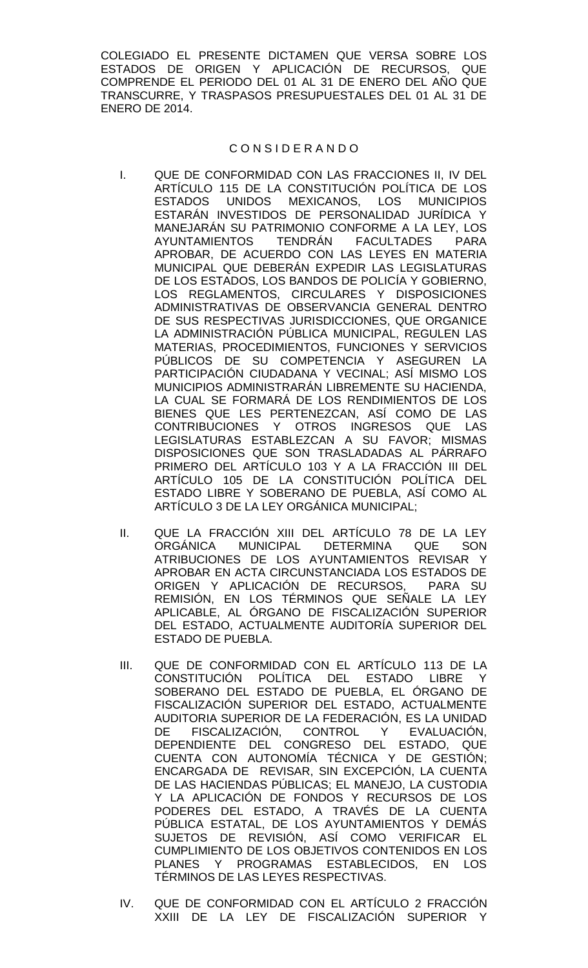COLEGIADO EL PRESENTE DICTAMEN QUE VERSA SOBRE LOS ESTADOS DE ORIGEN Y APLICACIÓN DE RECURSOS, QUE COMPRENDE EL PERIODO DEL 01 AL 31 DE ENERO DEL AÑO QUE TRANSCURRE, Y TRASPASOS PRESUPUESTALES DEL 01 AL 31 DE ENERO DE 2014.

#### C O N S I D E R A N D O

- I. QUE DE CONFORMIDAD CON LAS FRACCIONES II, IV DEL ARTÍCULO 115 DE LA CONSTITUCIÓN POLÍTICA DE LOS ESTADOS UNIDOS MEXICANOS, LOS MUNICIPIOS ESTARÁN INVESTIDOS DE PERSONALIDAD JURÍDICA Y MANEJARÁN SU PATRIMONIO CONFORME A LA LEY, LOS AYUNTAMIENTOS TENDRÁN FACULTADES PARA APROBAR, DE ACUERDO CON LAS LEYES EN MATERIA MUNICIPAL QUE DEBERÁN EXPEDIR LAS LEGISLATURAS DE LOS ESTADOS, LOS BANDOS DE POLICÍA Y GOBIERNO, LOS REGLAMENTOS, CIRCULARES Y DISPOSICIONES ADMINISTRATIVAS DE OBSERVANCIA GENERAL DENTRO DE SUS RESPECTIVAS JURISDICCIONES, QUE ORGANICE LA ADMINISTRACIÓN PÚBLICA MUNICIPAL, REGULEN LAS MATERIAS, PROCEDIMIENTOS, FUNCIONES Y SERVICIOS PÚBLICOS DE SU COMPETENCIA Y ASEGUREN LA PARTICIPACIÓN CIUDADANA Y VECINAL; ASÍ MISMO LOS MUNICIPIOS ADMINISTRARÁN LIBREMENTE SU HACIENDA, LA CUAL SE FORMARÁ DE LOS RENDIMIENTOS DE LOS BIENES QUE LES PERTENEZCAN, ASÍ COMO DE LAS CONTRIBUCIONES Y OTROS INGRESOS QUE LAS LEGISLATURAS ESTABLEZCAN A SU FAVOR; MISMAS DISPOSICIONES QUE SON TRASLADADAS AL PÁRRAFO PRIMERO DEL ARTÍCULO 103 Y A LA FRACCIÓN III DEL ARTÍCULO 105 DE LA CONSTITUCIÓN POLÍTICA DEL ESTADO LIBRE Y SOBERANO DE PUEBLA, ASÍ COMO AL ARTÍCULO 3 DE LA LEY ORGÁNICA MUNICIPAL;
- II. QUE LA FRACCIÓN XIII DEL ARTÍCULO 78 DE LA LEY ORGÁNICA MUNICIPAL DETERMINA QUE SON ATRIBUCIONES DE LOS AYUNTAMIENTOS REVISAR Y APROBAR EN ACTA CIRCUNSTANCIADA LOS ESTADOS DE ORIGEN Y APLICACIÓN DE RECURSOS, PARA SU REMISIÓN, EN LOS TÉRMINOS QUE SEÑALE LA LEY APLICABLE, AL ÓRGANO DE FISCALIZACIÓN SUPERIOR DEL ESTADO, ACTUALMENTE AUDITORÍA SUPERIOR DEL ESTADO DE PUEBLA.
- III. QUE DE CONFORMIDAD CON EL ARTÍCULO 113 DE LA CONSTITUCIÓN POLÍTICA DEL ESTADO LIBRE Y SOBERANO DEL ESTADO DE PUEBLA, EL ÓRGANO DE FISCALIZACIÓN SUPERIOR DEL ESTADO, ACTUALMENTE AUDITORIA SUPERIOR DE LA FEDERACIÓN, ES LA UNIDAD<br>DE FISCALIZACIÓN, CONTROL Y EVALUACIÓN, DE FISCALIZACIÓN, CONTROL Y EVALUACIÓN, DEPENDIENTE DEL CONGRESO DEL ESTADO, QUE CUENTA CON AUTONOMÍA TÉCNICA Y DE GESTIÓN; ENCARGADA DE REVISAR, SIN EXCEPCIÓN, LA CUENTA DE LAS HACIENDAS PÚBLICAS; EL MANEJO, LA CUSTODIA Y LA APLICACIÓN DE FONDOS Y RECURSOS DE LOS PODERES DEL ESTADO, A TRAVÉS DE LA CUENTA PÚBLICA ESTATAL, DE LOS AYUNTAMIENTOS Y DEMÁS SUJETOS DE REVISIÓN, ASÍ COMO VERIFICAR EL CUMPLIMIENTO DE LOS OBJETIVOS CONTENIDOS EN LOS PLANES Y PROGRAMAS ESTABLECIDOS, EN LOS TÉRMINOS DE LAS LEYES RESPECTIVAS.
- IV. QUE DE CONFORMIDAD CON EL ARTÍCULO 2 FRACCIÓN XXIII DE LA LEY DE FISCALIZACIÓN SUPERIOR Y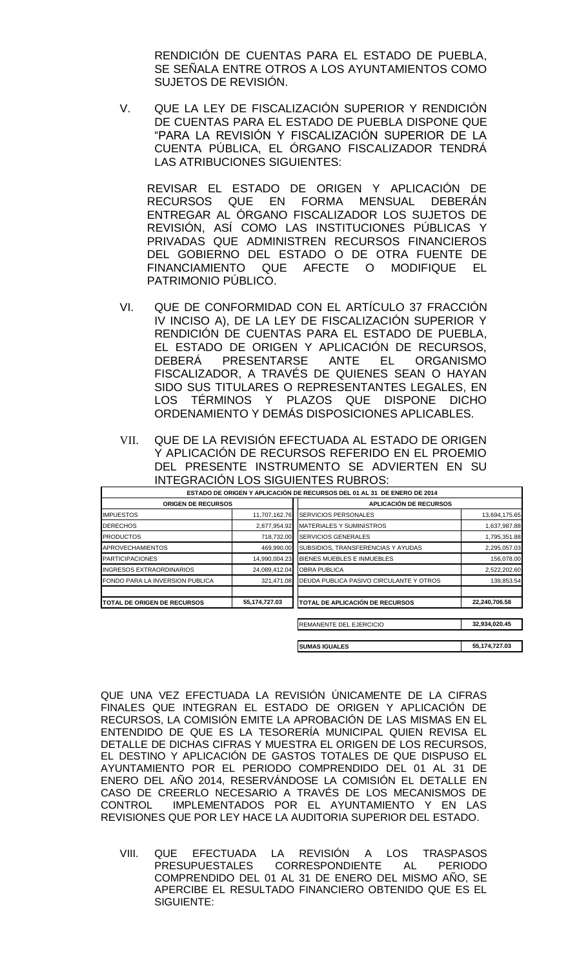RENDICIÓN DE CUENTAS PARA EL ESTADO DE PUEBLA, SE SEÑALA ENTRE OTROS A LOS AYUNTAMIENTOS COMO SUJETOS DE REVISIÓN.

V. QUE LA LEY DE FISCALIZACIÓN SUPERIOR Y RENDICIÓN DE CUENTAS PARA EL ESTADO DE PUEBLA DISPONE QUE "PARA LA REVISIÓN Y FISCALIZACIÓN SUPERIOR DE LA CUENTA PÚBLICA, EL ÓRGANO FISCALIZADOR TENDRÁ LAS ATRIBUCIONES SIGUIENTES:

REVISAR EL ESTADO DE ORIGEN Y APLICACIÓN DE RECURSOS QUE EN FORMA MENSUAL DEBERÁN ENTREGAR AL ÓRGANO FISCALIZADOR LOS SUJETOS DE REVISIÓN, ASÍ COMO LAS INSTITUCIONES PÚBLICAS Y PRIVADAS QUE ADMINISTREN RECURSOS FINANCIEROS DEL GOBIERNO DEL ESTADO O DE OTRA FUENTE DE FINANCIAMIENTO QUE AFECTE O MODIFIQUE EL PATRIMONIO PÚBLICO.

- VI. QUE DE CONFORMIDAD CON EL ARTÍCULO 37 FRACCIÓN IV INCISO A), DE LA LEY DE FISCALIZACIÓN SUPERIOR Y RENDICIÓN DE CUENTAS PARA EL ESTADO DE PUEBLA, EL ESTADO DE ORIGEN Y APLICACIÓN DE RECURSOS, DEBERÁ PRESENTARSE ANTE EL ORGANISMO FISCALIZADOR, A TRAVÉS DE QUIENES SEAN O HAYAN SIDO SUS TITULARES O REPRESENTANTES LEGALES, EN LOS TÉRMINOS Y PLAZOS QUE DISPONE DICHO ORDENAMIENTO Y DEMÁS DISPOSICIONES APLICABLES.
- VII. QUE DE LA REVISIÓN EFECTUADA AL ESTADO DE ORIGEN Y APLICACIÓN DE RECURSOS REFERIDO EN EL PROEMIO DEL PRESENTE INSTRUMENTO SE ADVIERTEN EN SU INTEGRACIÓN LOS SIGUIENTES RUBROS:

|                                     |               | ESTADO DE ORIGEN Y APLICACIÓN DE RECURSOS DEL 01 AL 31 DE ENERO DE 2014 |               |  |
|-------------------------------------|---------------|-------------------------------------------------------------------------|---------------|--|
| <b>ORIGEN DE RECURSOS</b>           |               | <b>APLICACIÓN DE RECURSOS</b>                                           |               |  |
| <b>IMPUESTOS</b>                    | 11,707,162.76 | <b>SERVICIOS PERSONALES</b>                                             | 13,694,175.65 |  |
| <b>DERECHOS</b>                     | 2,877,954.92  | <b>MATERIALES Y SUMINISTROS</b>                                         | 1,637,987.88  |  |
| <b>PRODUCTOS</b>                    | 718,732.00    | <b>SERVICIOS GENERALES</b>                                              | 1,795,351.88  |  |
| <b>APROVECHAMIENTOS</b>             | 469,990.00    | SUBSIDIOS, TRANSFERENCIAS Y AYUDAS                                      | 2,295,057.03  |  |
| <b>PARTICIPACIONES</b>              | 14,990,004.23 | BIENES MUEBLES E INMUEBLES                                              | 156,078.00    |  |
| <b>INGRESOS EXTRAORDINARIOS</b>     | 24,089,412.04 | <b>OBRA PUBLICA</b>                                                     | 2,522,202.60  |  |
| FONDO PARA LA INVERSION PUBLICA     | 321.471.08    | DEUDA PUBLICA PASIVO CIRCULANTE Y OTROS                                 | 139,853.54    |  |
| <b>ITOTAL DE ORIGEN DE RECURSOS</b> | 55,174,727.03 | TOTAL DE APLICACIÓN DE RECURSOS                                         | 22,240,706.58 |  |
|                                     |               | REMANENTE DEL EJERCICIO                                                 | 32,934,020.45 |  |
|                                     |               | <b>SUMAS IGUALES</b>                                                    | 55,174,727.03 |  |

QUE UNA VEZ EFECTUADA LA REVISIÓN ÚNICAMENTE DE LA CIFRAS FINALES QUE INTEGRAN EL ESTADO DE ORIGEN Y APLICACIÓN DE RECURSOS, LA COMISIÓN EMITE LA APROBACIÓN DE LAS MISMAS EN EL ENTENDIDO DE QUE ES LA TESORERÍA MUNICIPAL QUIEN REVISA EL DETALLE DE DICHAS CIFRAS Y MUESTRA EL ORIGEN DE LOS RECURSOS, EL DESTINO Y APLICACIÓN DE GASTOS TOTALES DE QUE DISPUSO EL AYUNTAMIENTO POR EL PERIODO COMPRENDIDO DEL 01 AL 31 DE ENERO DEL AÑO 2014, RESERVÁNDOSE LA COMISIÓN EL DETALLE EN CASO DE CREERLO NECESARIO A TRAVÉS DE LOS MECANISMOS DE CONTROL IMPLEMENTADOS POR EL AYUNTAMIENTO Y EN LAS REVISIONES QUE POR LEY HACE LA AUDITORIA SUPERIOR DEL ESTADO.

VIII. QUE EFECTUADA LA REVISIÓN A LOS TRASPASOS CORRESPONDIENTE AL PERIODO COMPRENDIDO DEL 01 AL 31 DE ENERO DEL MISMO AÑO, SE APERCIBE EL RESULTADO FINANCIERO OBTENIDO QUE ES EL SIGUIENTE: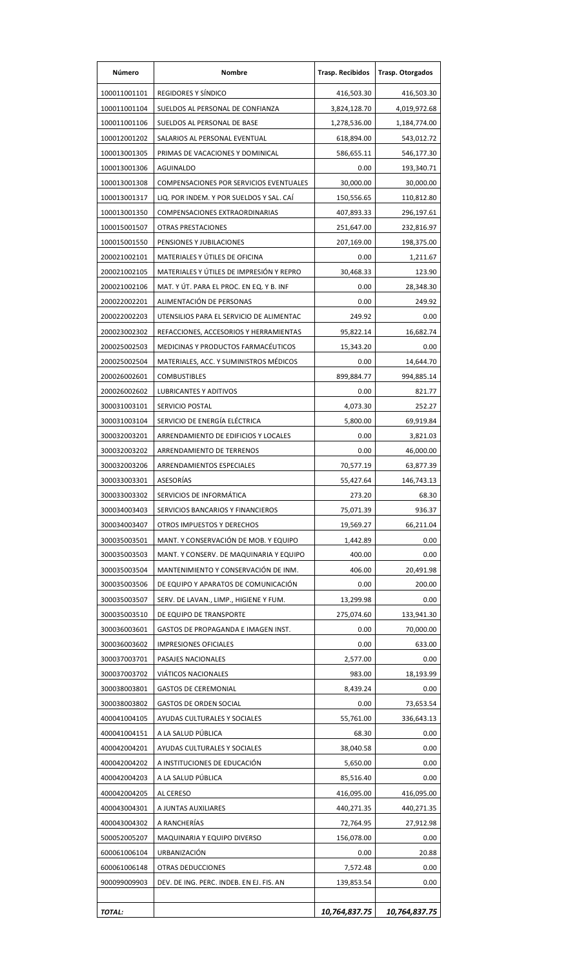| Número        | Nombre                                   | <b>Trasp. Recibidos</b> | <b>Trasp. Otorgados</b> |
|---------------|------------------------------------------|-------------------------|-------------------------|
| 100011001101  | REGIDORES Y SÍNDICO                      | 416,503.30              | 416,503.30              |
| 100011001104  | SUELDOS AL PERSONAL DE CONFIANZA         | 3,824,128.70            | 4,019,972.68            |
| 100011001106  | SUELDOS AL PERSONAL DE BASE              | 1,278,536.00            | 1,184,774.00            |
| 100012001202  | SALARIOS AL PERSONAL EVENTUAL            | 618,894.00              | 543,012.72              |
| 100013001305  | PRIMAS DE VACACIONES Y DOMINICAL         | 586,655.11              | 546,177.30              |
| 100013001306  | <b>AGUINALDO</b>                         | 0.00                    | 193,340.71              |
| 100013001308  | COMPENSACIONES POR SERVICIOS EVENTUALES  | 30,000.00               | 30,000.00               |
| 100013001317  | LIQ. POR INDEM. Y POR SUELDOS Y SAL. CAI | 150,556.65              | 110,812.80              |
| 100013001350  | COMPENSACIONES EXTRAORDINARIAS           | 407,893.33              | 296,197.61              |
| 100015001507  | <b>OTRAS PRESTACIONES</b>                | 251,647.00              | 232,816.97              |
| 100015001550  | PENSIONES Y JUBILACIONES                 | 207,169.00              | 198,375.00              |
| 200021002101  | MATERIALES Y ÚTILES DE OFICINA           | 0.00                    | 1,211.67                |
| 200021002105  | MATERIALES Y ÚTILES DE IMPRESIÓN Y REPRO | 30,468.33               | 123.90                  |
| 200021002106  | MAT. Y ÚT. PARA EL PROC. EN EQ. Y B. INF | 0.00                    | 28,348.30               |
| 200022002201  | ALIMENTACIÓN DE PERSONAS                 | 0.00                    | 249.92                  |
| 200022002203  | UTENSILIOS PARA EL SERVICIO DE ALIMENTAC | 249.92                  | 0.00                    |
| 200023002302  | REFACCIONES, ACCESORIOS Y HERRAMIENTAS   | 95,822.14               | 16,682.74               |
|               |                                          |                         | 0.00                    |
| 200025002503  | MEDICINAS Y PRODUCTOS FARMACEUTICOS      | 15,343.20               |                         |
| 200025002504  | MATERIALES, ACC. Y SUMINISTROS MÉDICOS   | 0.00                    | 14,644.70               |
| 200026002601  | <b>COMBUSTIBLES</b>                      | 899,884.77              | 994,885.14              |
| 200026002602  | <b>LUBRICANTES Y ADITIVOS</b>            | 0.00                    | 821.77                  |
| 300031003101  | SERVICIO POSTAL                          | 4,073.30                | 252.27                  |
| 300031003104  | SERVICIO DE ENERGÍA ELÉCTRICA            | 5,800.00                | 69,919.84               |
| 300032003201  | ARRENDAMIENTO DE EDIFICIOS Y LOCALES     | 0.00                    | 3,821.03                |
| 300032003202  | ARRENDAMIENTO DE TERRENOS                | 0.00                    | 46,000.00               |
| 300032003206  | ARRENDAMIENTOS ESPECIALES                | 70,577.19               | 63,877.39               |
| 300033003301  | ASESORÍAS                                | 55,427.64               | 146,743.13              |
| 300033003302  | SERVICIOS DE INFORMÁTICA                 | 273.20                  | 68.30                   |
| 300034003403  | SERVICIOS BANCARIOS Y FINANCIEROS        | 75,071.39               | 936.37                  |
| 300034003407  | OTROS IMPUESTOS Y DERECHOS               | 19,569.27               | 66,211.04               |
| 300035003501  | MANT. Y CONSERVACIÓN DE MOB. Y EQUIPO    | 1,442.89                | 0.00                    |
| 300035003503  | MANT. Y CONSERV. DE MAQUINARIA Y EQUIPO  | 400.00                  | 0.00                    |
| 300035003504  | MANTENIMIENTO Y CONSERVACIÓN DE INM.     | 406.00                  | 20,491.98               |
| 300035003506  | DE EQUIPO Y APARATOS DE COMUNICACIÓN     | 0.00                    | 200.00                  |
| 300035003507  | SERV. DE LAVAN., LIMP., HIGIENE Y FUM.   | 13,299.98               | 0.00                    |
| 300035003510  | DE EQUIPO DE TRANSPORTE                  | 275,074.60              | 133,941.30              |
| 300036003601  | GASTOS DE PROPAGANDA E IMAGEN INST.      | 0.00                    | 70,000.00               |
| 300036003602  | <b>IMPRESIONES OFICIALES</b>             | 0.00                    | 633.00                  |
| 300037003701  | PASAJES NACIONALES                       | 2,577.00                | 0.00                    |
| 300037003702  | <b>VIÁTICOS NACIONALES</b>               | 983.00                  | 18,193.99               |
| 300038003801  | <b>GASTOS DE CEREMONIAL</b>              | 8,439.24                | 0.00                    |
| 300038003802  | <b>GASTOS DE ORDEN SOCIAL</b>            | 0.00                    | 73,653.54               |
| 400041004105  | AYUDAS CULTURALES Y SOCIALES             | 55,761.00               | 336,643.13              |
| 400041004151  | A LA SALUD PÚBLICA                       | 68.30                   | 0.00                    |
| 400042004201  | AYUDAS CULTURALES Y SOCIALES             | 38,040.58               | 0.00                    |
| 400042004202  | A INSTITUCIONES DE EDUCACIÓN             | 5,650.00                | 0.00                    |
| 400042004203  | A LA SALUD PÚBLICA                       | 85,516.40               | 0.00                    |
| 400042004205  | AL CERESO                                | 416,095.00              | 416,095.00              |
| 400043004301  | A JUNTAS AUXILIARES                      | 440,271.35              | 440,271.35              |
| 400043004302  | A RANCHERÍAS                             | 72,764.95               | 27,912.98               |
| 500052005207  | MAQUINARIA Y EQUIPO DIVERSO              | 156,078.00              | 0.00                    |
| 600061006104  | URBANIZACIÓN                             | 0.00                    | 20.88                   |
| 600061006148  | OTRAS DEDUCCIONES                        | 7,572.48                | 0.00                    |
| 900099009903  | DEV. DE ING. PERC. INDEB. EN EJ. FIS. AN | 139,853.54              | 0.00                    |
|               |                                          |                         |                         |
| <b>TOTAL:</b> |                                          | 10,764,837.75           | 10,764,837.75           |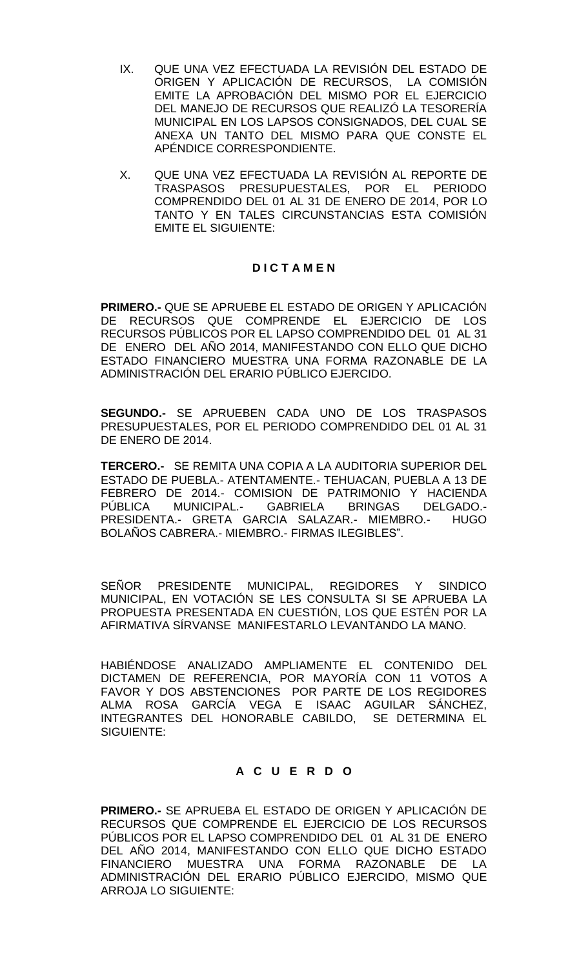- IX. QUE UNA VEZ EFECTUADA LA REVISIÓN DEL ESTADO DE ORIGEN Y APLICACIÓN DE RECURSOS, LA COMISIÓN EMITE LA APROBACIÓN DEL MISMO POR EL EJERCICIO DEL MANEJO DE RECURSOS QUE REALIZÓ LA TESORERÍA MUNICIPAL EN LOS LAPSOS CONSIGNADOS, DEL CUAL SE ANEXA UN TANTO DEL MISMO PARA QUE CONSTE EL APÉNDICE CORRESPONDIENTE.
- X. QUE UNA VEZ EFECTUADA LA REVISIÓN AL REPORTE DE TRASPASOS PRESUPUESTALES, POR EL PERIODO COMPRENDIDO DEL 01 AL 31 DE ENERO DE 2014, POR LO TANTO Y EN TALES CIRCUNSTANCIAS ESTA COMISIÓN EMITE EL SIGUIENTE:

## **D I C T A M E N**

**PRIMERO.-** QUE SE APRUEBE EL ESTADO DE ORIGEN Y APLICACIÓN DE RECURSOS QUE COMPRENDE EL EJERCICIO DE LOS RECURSOS PÚBLICOS POR EL LAPSO COMPRENDIDO DEL 01 AL 31 DE ENERO DEL AÑO 2014, MANIFESTANDO CON ELLO QUE DICHO ESTADO FINANCIERO MUESTRA UNA FORMA RAZONABLE DE LA ADMINISTRACIÓN DEL ERARIO PÚBLICO EJERCIDO.

**SEGUNDO.-** SE APRUEBEN CADA UNO DE LOS TRASPASOS PRESUPUESTALES, POR EL PERIODO COMPRENDIDO DEL 01 AL 31 DE ENERO DE 2014.

**TERCERO.-** SE REMITA UNA COPIA A LA AUDITORIA SUPERIOR DEL ESTADO DE PUEBLA.- ATENTAMENTE.- TEHUACAN, PUEBLA A 13 DE FEBRERO DE 2014.- COMISION DE PATRIMONIO Y HACIENDA PÚBLICA MUNICIPAL.- GABRIELA BRINGAS DELGADO.- PRESIDENTA.- GRETA GARCIA SALAZAR.- MIEMBRO.- HUGO BOLAÑOS CABRERA.- MIEMBRO.- FIRMAS ILEGIBLES".

SENOR PRESIDENTE MUNICIPAL, REGIDORES Y SINDICO MUNICIPAL, EN VOTACIÓN SE LES CONSULTA SI SE APRUEBA LA PROPUESTA PRESENTADA EN CUESTIÓN, LOS QUE ESTÉN POR LA AFIRMATIVA SÍRVANSE MANIFESTARLO LEVANTANDO LA MANO.

HABIÉNDOSE ANALIZADO AMPLIAMENTE EL CONTENIDO DEL DICTAMEN DE REFERENCIA, POR MAYORÍA CON 11 VOTOS A FAVOR Y DOS ABSTENCIONES POR PARTE DE LOS REGIDORES ALMA ROSA GARCÍA VEGA E ISAAC AGUILAR SÁNCHEZ, INTEGRANTES DEL HONORABLE CABILDO, SE DETERMINA EL SIGUIENTE:

## **A C U E R D O**

**PRIMERO.-** SE APRUEBA EL ESTADO DE ORIGEN Y APLICACIÓN DE RECURSOS QUE COMPRENDE EL EJERCICIO DE LOS RECURSOS PÚBLICOS POR EL LAPSO COMPRENDIDO DEL 01 AL 31 DE ENERO DEL AÑO 2014, MANIFESTANDO CON ELLO QUE DICHO ESTADO FINANCIERO MUESTRA UNA FORMA RAZONABLE DE LA ADMINISTRACIÓN DEL ERARIO PÚBLICO EJERCIDO, MISMO QUE ARROJA LO SIGUIENTE: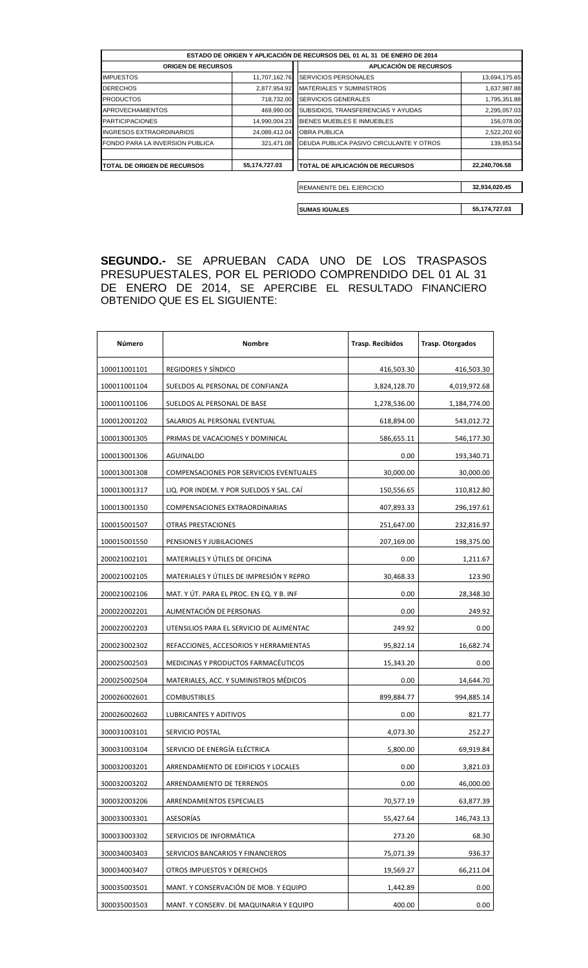|                                     |               | ESTADO DE ORIGEN Y APLICACIÓN DE RECURSOS DEL 01 AL 31 DE ENERO DE 2014 |               |
|-------------------------------------|---------------|-------------------------------------------------------------------------|---------------|
| <b>ORIGEN DE RECURSOS</b>           |               | <b>APLICACIÓN DE RECURSOS</b>                                           |               |
| <b>IMPUESTOS</b>                    | 11,707,162.76 | <b>SERVICIOS PERSONALES</b>                                             | 13,694,175.65 |
| <b>DERECHOS</b>                     | 2,877,954.92  | <b>MATERIALES Y SUMINISTROS</b>                                         | 1,637,987.88  |
| <b>PRODUCTOS</b>                    | 718,732.00    | <b>SERVICIOS GENERALES</b>                                              | 1,795,351.88  |
| <b>APROVECHAMIENTOS</b>             | 469,990.00    | SUBSIDIOS, TRANSFERENCIAS Y AYUDAS                                      | 2,295,057.03  |
| <b>PARTICIPACIONES</b>              | 14,990,004.23 | BIENES MUEBLES E INMUEBLES                                              | 156,078.00    |
| <b>INGRESOS EXTRAORDINARIOS</b>     | 24,089,412.04 | <b>OBRA PUBLICA</b>                                                     | 2,522,202.60  |
| FONDO PARA LA INVERSION PUBLICA     | 321,471.08    | DEUDA PUBLICA PASIVO CIRCULANTE Y OTROS                                 | 139,853.54    |
| <b>ITOTAL DE ORIGEN DE RECURSOS</b> | 55,174,727.03 | <b>TOTAL DE APLICACIÓN DE RECURSOS</b>                                  | 22,240,706.58 |
|                                     |               | REMANENTE DEL EJERCICIO                                                 | 32,934,020.45 |
|                                     |               | <b>ISUMAS IGUALES</b>                                                   | 55,174,727.03 |

**SEGUNDO.-** SE APRUEBAN CADA UNO DE LOS TRASPASOS PRESUPUESTALES, POR EL PERIODO COMPRENDIDO DEL 01 AL 31 DE ENERO DE 2014, SE APERCIBE EL RESULTADO FINANCIERO OBTENIDO QUE ES EL SIGUIENTE:

| Número       | Nombre                                   | <b>Trasp. Recibidos</b> | <b>Trasp. Otorgados</b> |
|--------------|------------------------------------------|-------------------------|-------------------------|
| 100011001101 | REGIDORES Y SÍNDICO                      | 416,503.30              | 416,503.30              |
| 100011001104 | SUELDOS AL PERSONAL DE CONFIANZA         | 3,824,128.70            | 4,019,972.68            |
| 100011001106 | SUELDOS AL PERSONAL DE BASE              | 1,278,536.00            | 1,184,774.00            |
| 100012001202 | SALARIOS AL PERSONAL EVENTUAL            | 618,894.00              | 543,012.72              |
| 100013001305 | PRIMAS DE VACACIONES Y DOMINICAL         | 586,655.11              | 546,177.30              |
| 100013001306 | AGUINALDO                                | 0.00                    | 193,340.71              |
| 100013001308 | COMPENSACIONES POR SERVICIOS EVENTUALES  | 30,000.00               | 30,000.00               |
| 100013001317 | LIQ. POR INDEM. Y POR SUELDOS Y SAL. CAI | 150,556.65              | 110,812.80              |
| 100013001350 | COMPENSACIONES EXTRAORDINARIAS           | 407,893.33              | 296,197.61              |
| 100015001507 | <b>OTRAS PRESTACIONES</b>                | 251,647.00              | 232,816.97              |
| 100015001550 | PENSIONES Y JUBILACIONES                 | 207,169.00              | 198,375.00              |
| 200021002101 | MATERIALES Y ÚTILES DE OFICINA           | 0.00                    | 1,211.67                |
| 200021002105 | MATERIALES Y ÚTILES DE IMPRESIÓN Y REPRO | 30,468.33               | 123.90                  |
| 200021002106 | MAT. Y UT. PARA EL PROC. EN EQ. Y B. INF | 0.00                    | 28,348.30               |
| 200022002201 | ALIMENTACIÓN DE PERSONAS                 | 0.00                    | 249.92                  |
| 200022002203 | UTENSILIOS PARA EL SERVICIO DE ALIMENTAC | 249.92                  | 0.00                    |
| 200023002302 | REFACCIONES, ACCESORIOS Y HERRAMIENTAS   | 95,822.14               | 16,682.74               |
| 200025002503 | MEDICINAS Y PRODUCTOS FARMACÉUTICOS      | 15,343.20               | 0.00                    |
| 200025002504 | MATERIALES, ACC. Y SUMINISTROS MÉDICOS   | 0.00                    | 14,644.70               |
| 200026002601 | <b>COMBUSTIBLES</b>                      | 899,884.77              | 994,885.14              |
| 200026002602 | LUBRICANTES Y ADITIVOS                   | 0.00                    | 821.77                  |
| 300031003101 | SERVICIO POSTAL                          | 4,073.30                | 252.27                  |
| 300031003104 | SERVICIO DE ENERGÍA ELÉCTRICA            | 5,800.00                | 69,919.84               |
| 300032003201 | ARRENDAMIENTO DE EDIFICIOS Y LOCALES     | 0.00                    | 3,821.03                |
| 300032003202 | ARRENDAMIENTO DE TERRENOS                | 0.00                    | 46,000.00               |
| 300032003206 | ARRENDAMIENTOS ESPECIALES                | 70,577.19               | 63,877.39               |
| 300033003301 | ASESORÍAS                                | 55,427.64               | 146,743.13              |
| 300033003302 | SERVICIOS DE INFORMÁTICA                 | 273.20                  | 68.30                   |
| 300034003403 | SERVICIOS BANCARIOS Y FINANCIEROS        | 75,071.39               | 936.37                  |
| 300034003407 | OTROS IMPUESTOS Y DERECHOS               | 19,569.27               | 66,211.04               |
| 300035003501 | MANT. Y CONSERVACIÓN DE MOB. Y EQUIPO    | 1,442.89                | 0.00                    |
| 300035003503 | MANT. Y CONSERV. DE MAQUINARIA Y EQUIPO  | 400.00                  | 0.00                    |